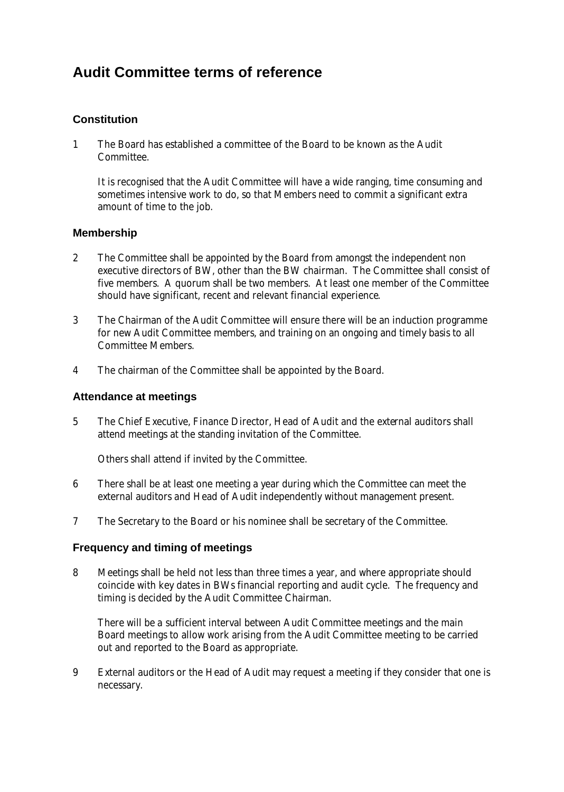# **Audit Committee terms of reference**

# **Constitution**

1 The Board has established a committee of the Board to be known as the Audit Committee.

It is recognised that the Audit Committee will have a wide ranging, time consuming and sometimes intensive work to do, so that Members need to commit a significant extra amount of time to the job.

## **Membership**

- 2 The Committee shall be appointed by the Board from amongst the independent non executive directors of BW, other than the BW chairman. The Committee shall consist of five members. A quorum shall be two members. At least one member of the Committee should have significant, recent and relevant financial experience.
- 3 The Chairman of the Audit Committee will ensure there will be an induction programme for new Audit Committee members, and training on an ongoing and timely basis to all Committee Members.
- 4 The chairman of the Committee shall be appointed by the Board.

## **Attendance at meetings**

5 The Chief Executive, Finance Director, Head of Audit and the external auditors shall attend meetings at the standing invitation of the Committee.

Others shall attend if invited by the Committee.

- 6 There shall be at least one meeting a year during which the Committee can meet the external auditors and Head of Audit independently without management present.
- 7 The Secretary to the Board or his nominee shall be secretary of the Committee.

#### **Frequency and timing of meetings**

8 Meetings shall be held not less than three times a year, and where appropriate should coincide with key dates in BWs financial reporting and audit cycle. The frequency and timing is decided by the Audit Committee Chairman.

There will be a sufficient interval between Audit Committee meetings and the main Board meetings to allow work arising from the Audit Committee meeting to be carried out and reported to the Board as appropriate.

9 External auditors or the Head of Audit may request a meeting if they consider that one is necessary.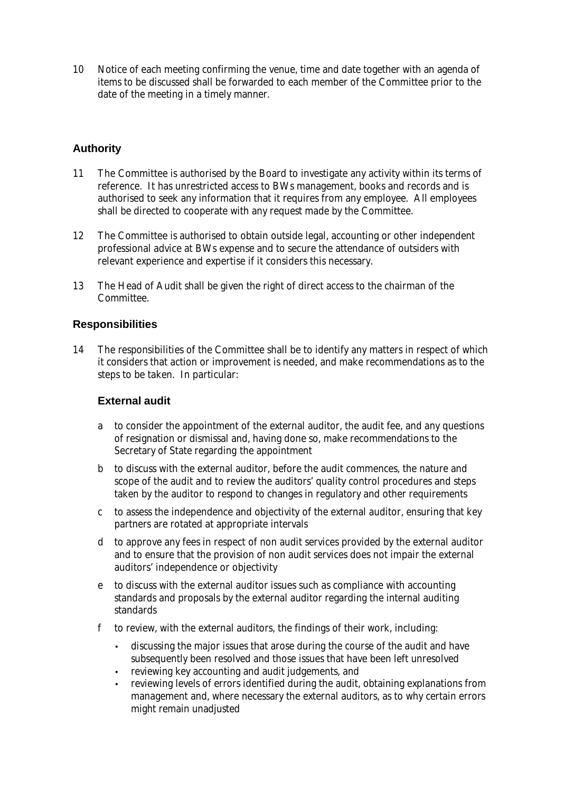10 Notice of each meeting confirming the venue, time and date together with an agenda of items to be discussed shall be forwarded to each member of the Committee prior to the date of the meeting in a timely manner.

# **Authority**

- 11 The Committee is authorised by the Board to investigate any activity within its terms of reference. It has unrestricted access to BWs management, books and records and is authorised to seek any information that it requires from any employee. All employees shall be directed to cooperate with any request made by the Committee.
- 12 The Committee is authorised to obtain outside legal, accounting or other independent professional advice at BWs expense and to secure the attendance of outsiders with relevant experience and expertise if it considers this necessary.
- 13 The Head of Audit shall be given the right of direct access to the chairman of the Committee.

## **Responsibilities**

14 The responsibilities of the Committee shall be to identify any matters in respect of which it considers that action or improvement is needed, and make recommendations as to the steps to be taken. In particular:

#### **External audit**

- a to consider the appointment of the external auditor, the audit fee, and any questions of resignation or dismissal and, having done so, make recommendations to the Secretary of State regarding the appointment
- b to discuss with the external auditor, before the audit commences, the nature and scope of the audit and to review the auditors' quality control procedures and steps taken by the auditor to respond to changes in regulatory and other requirements
- c to assess the independence and objectivity of the external auditor, ensuring that key partners are rotated at appropriate intervals
- d to approve any fees in respect of non audit services provided by the external auditor and to ensure that the provision of non audit services does not impair the external auditors' independence or objectivity
- e to discuss with the external auditor issues such as compliance with accounting standards and proposals by the external auditor regarding the internal auditing standards
- f to review, with the external auditors, the findings of their work, including:
	- discussing the major issues that arose during the course of the audit and have subsequently been resolved and those issues that have been left unresolved
	- reviewing key accounting and audit judgements, and
	- reviewing levels of errors identified during the audit, obtaining explanations from management and, where necessary the external auditors, as to why certain errors might remain unadjusted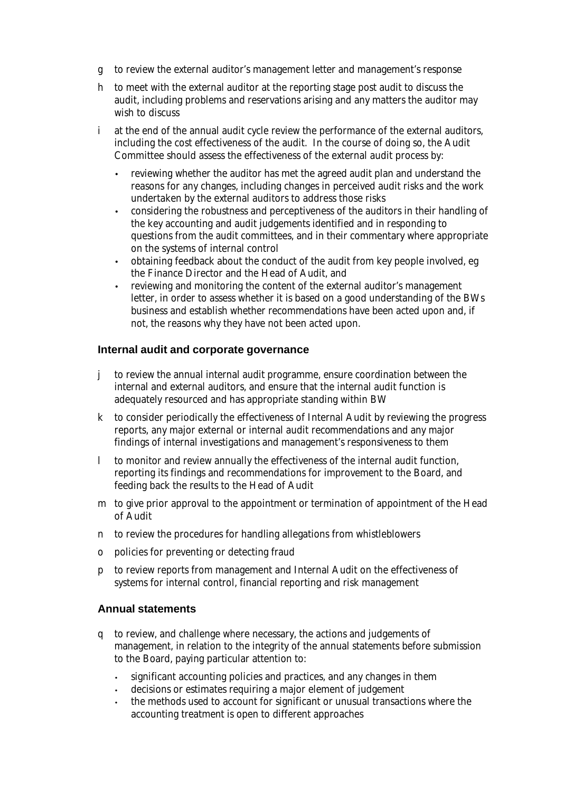- g to review the external auditor's management letter and management's response
- h to meet with the external auditor at the reporting stage post audit to discuss the audit, including problems and reservations arising and any matters the auditor may wish to discuss
- i at the end of the annual audit cycle review the performance of the external auditors, including the cost effectiveness of the audit. In the course of doing so, the Audit Committee should assess the effectiveness of the external audit process by:
	- reviewing whether the auditor has met the agreed audit plan and understand the reasons for any changes, including changes in perceived audit risks and the work undertaken by the external auditors to address those risks
	- considering the robustness and perceptiveness of the auditors in their handling of the key accounting and audit judgements identified and in responding to questions from the audit committees, and in their commentary where appropriate on the systems of internal control
	- obtaining feedback about the conduct of the audit from key people involved, eg the Finance Director and the Head of Audit, and
	- reviewing and monitoring the content of the external auditor's management letter, in order to assess whether it is based on a good understanding of the BWs business and establish whether recommendations have been acted upon and, if not, the reasons why they have not been acted upon.

## **Internal audit and corporate governance**

- j to review the annual internal audit programme, ensure coordination between the internal and external auditors, and ensure that the internal audit function is adequately resourced and has appropriate standing within BW
- k to consider periodically the effectiveness of Internal Audit by reviewing the progress reports, any major external or internal audit recommendations and any major findings of internal investigations and management's responsiveness to them
- l to monitor and review annually the effectiveness of the internal audit function, reporting its findings and recommendations for improvement to the Board, and feeding back the results to the Head of Audit
- m to give prior approval to the appointment or termination of appointment of the Head of Audit
- n to review the procedures for handling allegations from whistleblowers
- o policies for preventing or detecting fraud
- p to review reports from management and Internal Audit on the effectiveness of systems for internal control, financial reporting and risk management

#### **Annual statements**

- q to review, and challenge where necessary, the actions and judgements of management, in relation to the integrity of the annual statements before submission to the Board, paying particular attention to:
	- significant accounting policies and practices, and any changes in them
	- decisions or estimates requiring a major element of judgement
	- the methods used to account for significant or unusual transactions where the accounting treatment is open to different approaches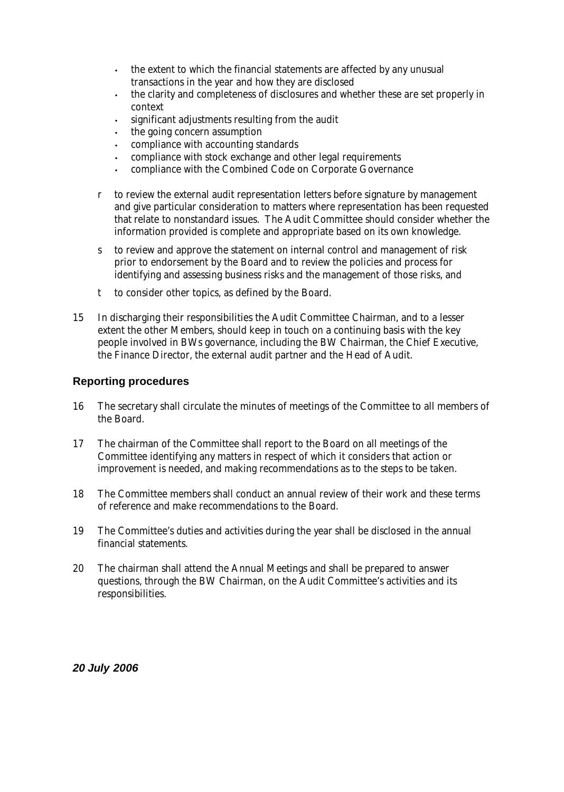- the extent to which the financial statements are affected by any unusual transactions in the year and how they are disclosed
- the clarity and completeness of disclosures and whether these are set properly in context
- significant adjustments resulting from the audit
- the going concern assumption
- compliance with accounting standards
- compliance with stock exchange and other legal requirements
- compliance with the Combined Code on Corporate Governance
- r to review the external audit representation letters before signature by management and give particular consideration to matters where representation has been requested that relate to nonstandard issues. The Audit Committee should consider whether the information provided is complete and appropriate based on its own knowledge.
- s to review and approve the statement on internal control and management of risk prior to endorsement by the Board and to review the policies and process for identifying and assessing business risks and the management of those risks, and
- t to consider other topics, as defined by the Board.
- 15 In discharging their responsibilities the Audit Committee Chairman, and to a lesser extent the other Members, should keep in touch on a continuing basis with the key people involved in BWs governance, including the BW Chairman, the Chief Executive, the Finance Director, the external audit partner and the Head of Audit.

## **Reporting procedures**

- 16 The secretary shall circulate the minutes of meetings of the Committee to all members of the Board.
- 17 The chairman of the Committee shall report to the Board on all meetings of the Committee identifying any matters in respect of which it considers that action or improvement is needed, and making recommendations as to the steps to be taken.
- 18 The Committee members shall conduct an annual review of their work and these terms of reference and make recommendations to the Board.
- 19 The Committee's duties and activities during the year shall be disclosed in the annual financial statements.
- 20 The chairman shall attend the Annual Meetings and shall be prepared to answer questions, through the BW Chairman, on the Audit Committee's activities and its responsibilities.

*20 July 2006*